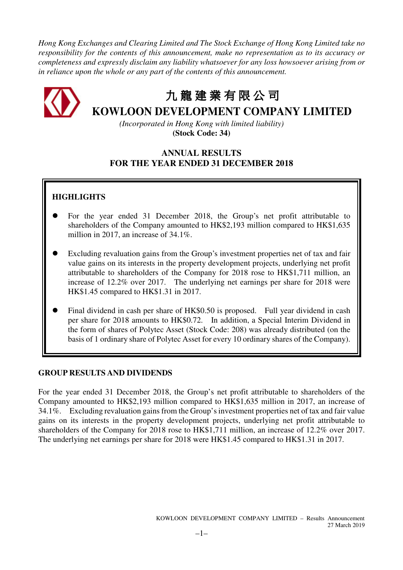*Hong Kong Exchanges and Clearing Limited and The Stock Exchange of Hong Kong Limited take no responsibility for the contents of this announcement, make no representation as to its accuracy or completeness and expressly disclaim any liability whatsoever for any loss howsoever arising from or in reliance upon the whole or any part of the contents of this announcement.* 



# 九 龍 建 業 有 限 公 司

# **KOWLOON DEVELOPMENT COMPANY LIMITED**

*(Incorporated in Hong Kong with limited liability)*  **(Stock Code: 34)** 

# **ANNUAL RESULTS FOR THE YEAR ENDED 31 DECEMBER 2018**

# **HIGHLIGHTS**

- For the year ended 31 December 2018, the Group's net profit attributable to shareholders of the Company amounted to HK\$2,193 million compared to HK\$1,635 million in 2017, an increase of 34.1%.
- Excluding revaluation gains from the Group's investment properties net of tax and fair value gains on its interests in the property development projects, underlying net profit attributable to shareholders of the Company for 2018 rose to HK\$1,711 million, an increase of 12.2% over 2017. The underlying net earnings per share for 2018 were HK\$1.45 compared to HK\$1.31 in 2017.
- Final dividend in cash per share of HK\$0.50 is proposed. Full year dividend in cash per share for 2018 amounts to HK\$0.72. In addition, a Special Interim Dividend in the form of shares of Polytec Asset (Stock Code: 208) was already distributed (on the basis of 1 ordinary share of Polytec Asset for every 10 ordinary shares of the Company).

# **GROUP RESULTS AND DIVIDENDS**

For the year ended 31 December 2018, the Group's net profit attributable to shareholders of the Company amounted to HK\$2,193 million compared to HK\$1,635 million in 2017, an increase of 34.1%. Excluding revaluation gains from the Group's investment properties net of tax and fair value gains on its interests in the property development projects, underlying net profit attributable to shareholders of the Company for 2018 rose to HK\$1,711 million, an increase of 12.2% over 2017. The underlying net earnings per share for 2018 were HK\$1.45 compared to HK\$1.31 in 2017.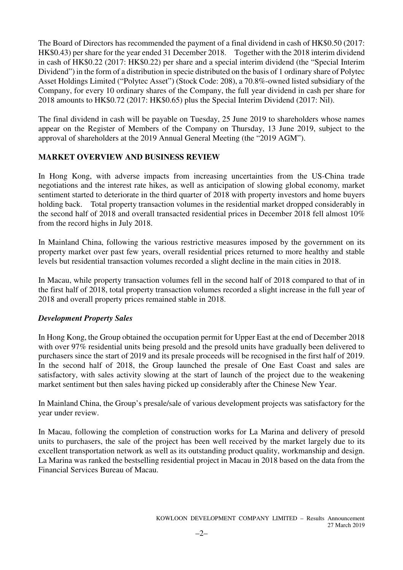The Board of Directors has recommended the payment of a final dividend in cash of HK\$0.50 (2017: HK\$0.43) per share for the year ended 31 December 2018. Together with the 2018 interim dividend in cash of HK\$0.22 (2017: HK\$0.22) per share and a special interim dividend (the "Special Interim Dividend") in the form of a distribution in specie distributed on the basis of 1 ordinary share of Polytec Asset Holdings Limited ("Polytec Asset") (Stock Code: 208), a 70.8%-owned listed subsidiary of the Company, for every 10 ordinary shares of the Company, the full year dividend in cash per share for 2018 amounts to HK\$0.72 (2017: HK\$0.65) plus the Special Interim Dividend (2017: Nil).

The final dividend in cash will be payable on Tuesday, 25 June 2019 to shareholders whose names appear on the Register of Members of the Company on Thursday, 13 June 2019, subject to the approval of shareholders at the 2019 Annual General Meeting (the "2019 AGM").

# **MARKET OVERVIEW AND BUSINESS REVIEW**

In Hong Kong, with adverse impacts from increasing uncertainties from the US-China trade negotiations and the interest rate hikes, as well as anticipation of slowing global economy, market sentiment started to deteriorate in the third quarter of 2018 with property investors and home buyers holding back. Total property transaction volumes in the residential market dropped considerably in the second half of 2018 and overall transacted residential prices in December 2018 fell almost 10% from the record highs in July 2018.

In Mainland China, following the various restrictive measures imposed by the government on its property market over past few years, overall residential prices returned to more healthy and stable levels but residential transaction volumes recorded a slight decline in the main cities in 2018.

In Macau, while property transaction volumes fell in the second half of 2018 compared to that of in the first half of 2018, total property transaction volumes recorded a slight increase in the full year of 2018 and overall property prices remained stable in 2018.

# *Development Property Sales*

In Hong Kong, the Group obtained the occupation permit for Upper East at the end of December 2018 with over 97% residential units being presold and the presold units have gradually been delivered to purchasers since the start of 2019 and its presale proceeds will be recognised in the first half of 2019. In the second half of 2018, the Group launched the presale of One East Coast and sales are satisfactory, with sales activity slowing at the start of launch of the project due to the weakening market sentiment but then sales having picked up considerably after the Chinese New Year.

In Mainland China, the Group's presale/sale of various development projects was satisfactory for the year under review.

In Macau, following the completion of construction works for La Marina and delivery of presold units to purchasers, the sale of the project has been well received by the market largely due to its excellent transportation network as well as its outstanding product quality, workmanship and design. La Marina was ranked the bestselling residential project in Macau in 2018 based on the data from the Financial Services Bureau of Macau.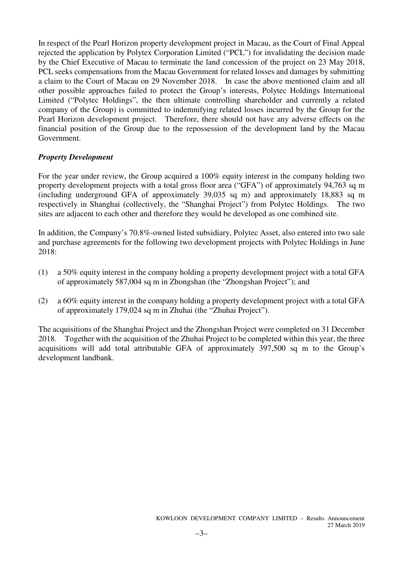In respect of the Pearl Horizon property development project in Macau, as the Court of Final Appeal rejected the application by Polytex Corporation Limited ("PCL") for invalidating the decision made by the Chief Executive of Macau to terminate the land concession of the project on 23 May 2018, PCL seeks compensations from the Macau Government for related losses and damages by submitting a claim to the Court of Macau on 29 November 2018. In case the above mentioned claim and all other possible approaches failed to protect the Group's interests, Polytec Holdings International Limited ("Polytec Holdings", the then ultimate controlling shareholder and currently a related company of the Group) is committed to indemnifying related losses incurred by the Group for the Pearl Horizon development project. Therefore, there should not have any adverse effects on the financial position of the Group due to the repossession of the development land by the Macau Government.

# *Property Development*

For the year under review, the Group acquired a 100% equity interest in the company holding two property development projects with a total gross floor area ("GFA") of approximately 94,763 sq m (including underground GFA of approximately 39,035 sq m) and approximately 18,883 sq m respectively in Shanghai (collectively, the "Shanghai Project") from Polytec Holdings. The two sites are adjacent to each other and therefore they would be developed as one combined site.

In addition, the Company's 70.8%-owned listed subsidiary, Polytec Asset, also entered into two sale and purchase agreements for the following two development projects with Polytec Holdings in June 2018:

- (1) a 50% equity interest in the company holding a property development project with a total GFA of approximately 587,004 sq m in Zhongshan (the "Zhongshan Project"); and
- (2) a 60% equity interest in the company holding a property development project with a total GFA of approximately 179,024 sq m in Zhuhai (the "Zhuhai Project").

The acquisitions of the Shanghai Project and the Zhongshan Project were completed on 31 December 2018. Together with the acquisition of the Zhuhai Project to be completed within this year, the three acquisitions will add total attributable GFA of approximately 397,500 sq m to the Group's development landbank.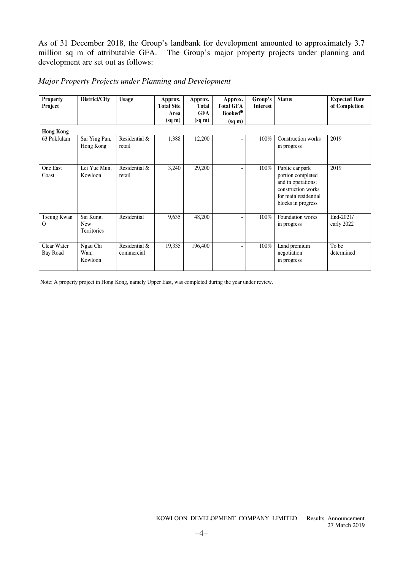As of 31 December 2018, the Group's landbank for development amounted to approximately 3.7 million sq m of attributable GFA. The Group's major property projects under planning and development are set out as follows:

# *Major Property Projects under Planning and Development*

| <b>Property</b><br>Project | District/City | <b>Usage</b> | Approx.<br><b>Total Site</b><br>Area<br>(sq m) | Approx.<br><b>Total</b><br><b>GFA</b><br>$(sq \, \text{m})$ | Approx.<br><b>Total GFA</b><br>Booked <sup>*</sup><br>$(sq \, \text{m})$ | Group's<br>Interest | <b>Status</b> | <b>Expected Date</b><br>of Completion |
|----------------------------|---------------|--------------|------------------------------------------------|-------------------------------------------------------------|--------------------------------------------------------------------------|---------------------|---------------|---------------------------------------|
| <b>Hong Kong</b>           |               |              |                                                |                                                             |                                                                          |                     |               |                                       |

| 63 Pokfulam             | Sai Ying Pun,<br>Hong Kong                    | Residential &<br>retail     | 1,388  | 12,200  | $\overline{\phantom{a}}$ | $100\%$ | Construction works<br>in progress                                                                                              | 2019                    |
|-------------------------|-----------------------------------------------|-----------------------------|--------|---------|--------------------------|---------|--------------------------------------------------------------------------------------------------------------------------------|-------------------------|
| One East<br>Coast       | Lei Yue Mun,<br>Kowloon                       | Residential &<br>retail     | 3,240  | 29,200  |                          | 100%    | Public car park<br>portion completed<br>and in operations;<br>construction works<br>for main residential<br>blocks in progress | 2019                    |
| Tseung Kwan<br>Ω        | Sai Kung,<br><b>New</b><br><b>Territories</b> | Residential                 | 9,635  | 48,200  |                          | 100%    | Foundation works<br>in progress                                                                                                | End-2021/<br>early 2022 |
| Clear Water<br>Bay Road | Ngau Chi<br>Wan,<br>Kowloon                   | Residential &<br>commercial | 19,335 | 196,400 |                          | 100%    | Land premium<br>negotiation<br>in progress                                                                                     | To be<br>determined     |

Note: A property project in Hong Kong, namely Upper East, was completed during the year under review.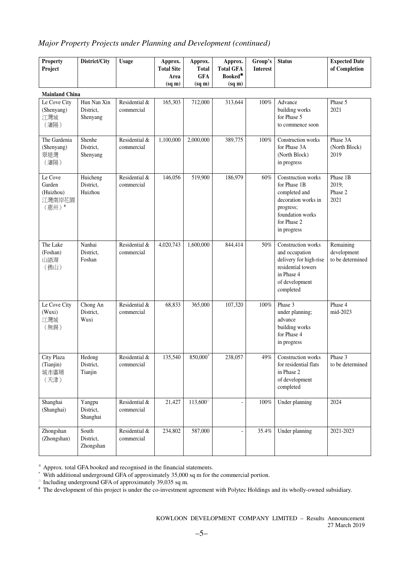# *Major Property Projects under Planning and Development (continued)*

| <b>Property</b><br>Project                        | District/City                        | <b>Usage</b>                | Approx.<br><b>Total Site</b><br>Area<br>(sq m) | Approx.<br><b>Total</b><br><b>GFA</b><br>$(sq \, \text{m})$ | Approx.<br><b>Total GFA</b><br>Booked*<br>$(sq \, m)$ | Group's<br><b>Interest</b> | <b>Status</b>                                                                                                                             | <b>Expected Date</b><br>of Completion        |
|---------------------------------------------------|--------------------------------------|-----------------------------|------------------------------------------------|-------------------------------------------------------------|-------------------------------------------------------|----------------------------|-------------------------------------------------------------------------------------------------------------------------------------------|----------------------------------------------|
| <b>Mainland China</b>                             |                                      |                             |                                                |                                                             |                                                       |                            |                                                                                                                                           |                                              |
| Le Cove City<br>(Shenyang)<br>江灣城<br>(瀋陽)         | Hun Nan Xin<br>District,<br>Shenyang | Residential &<br>commercial | 165,303                                        | 712,000                                                     | 313,644                                               | $100\%$                    | Advance<br>building works<br>for Phase 5<br>to commence soon                                                                              | Phase 5<br>2021                              |
| The Gardenia<br>(Shenyang)<br>翠堤灣<br>(瀋陽)         | Shenhe<br>District,<br>Shenyang      | Residential &<br>commercial | 1,100,000                                      | 2,000,000                                                   | 389,775                                               | 100%                       | Construction works<br>for Phase 3A<br>(North Block)<br>in progress                                                                        | Phase 3A<br>(North Block)<br>2019            |
| Le Cove<br>Garden<br>(Huizhou)<br>江灣南岸花園<br>(惠州)# | Huicheng<br>District,<br>Huizhou     | Residential &<br>commercial | 146,056                                        | 519,900                                                     | 186,979                                               | 60%                        | Construction works<br>for Phase 1B<br>completed and<br>decoration works in<br>progress;<br>foundation works<br>for Phase 2<br>in progress | Phase 1B<br>2019;<br>Phase 2<br>2021         |
| The Lake<br>(Foshan)<br>山語湖<br>(佛山)               | Nanhai<br>District,<br>Foshan        | Residential &<br>commercial | 4,020,743                                      | 1,600,000                                                   | 844,414                                               | 50%                        | Construction works<br>and occupation<br>delivery for high-rise<br>residential towers<br>in Phase 4<br>of development<br>completed         | Remaining<br>development<br>to be determined |
| Le Cove City<br>(Wuxi)<br>江灣城<br>(無錫)             | Chong An<br>District,<br>Wuxi        | Residential &<br>commercial | 68,833                                         | 365,000                                                     | 107,320                                               | 100%                       | Phase 3<br>under planning;<br>advance<br>building works<br>for Phase 4<br>in progress                                                     | Phase 4<br>mid-2023                          |
| City Plaza<br>(Tianjin)<br>城市廣場<br>(天津)           | Hedong<br>District,<br>Tianjin       | Residential &<br>commercial | 135,540                                        | 850,000*                                                    | 238,057                                               | 49%                        | Construction works<br>for residential flats<br>in Phase 2<br>of development<br>completed                                                  | Phase 3<br>to be determined                  |
| Shanghai<br>(Shanghai)                            | Yangpu<br>District,<br>Shanghai      | Residential &<br>commercial | 21,427                                         | $113,600^{\circ}$                                           |                                                       | $100\%$                    | Under planning                                                                                                                            | 2024                                         |
| Zhongshan<br>(Zhongshan)                          | South<br>District,<br>Zhongshan      | Residential &<br>commercial | 234,802                                        | 587,000                                                     |                                                       | 35.4%                      | Under planning                                                                                                                            | 2021-2023                                    |

※ Approx. total GFA booked and recognised in the financial statements.

 $^*$  With additional underground GFA of approximately 35,000 sq m for the commercial portion.<br> $^{\triangle}$  Including underground GFA of approximately 39,035 sq m.

# The development of this project is under the co-investment agreement with Polytec Holdings and its wholly-owned subsidiary.

KOWLOON DEVELOPMENT COMPANY LIMITED – Results Announcement 27 March 2019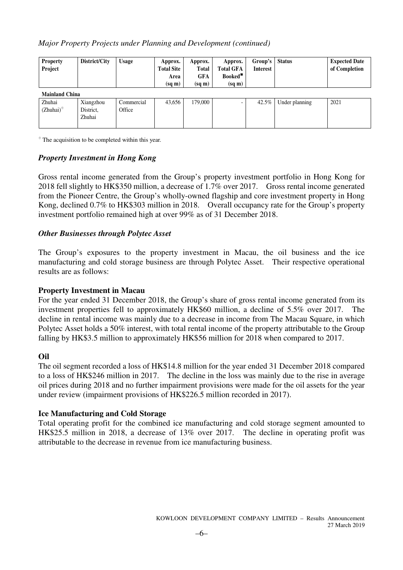# *Major Property Projects under Planning and Development (continued)*

| <b>Property</b><br>Project                             | District/City                    | <b>Usage</b>         | Approx.<br><b>Total Site</b><br>Area<br>$(sq \, \text{m})$ | Approx.<br><b>Total</b><br><b>GFA</b><br>$(sq \, \text{m})$ | Approx.<br><b>Total GFA</b><br>Booked*<br>$(sq \, m)$ | Group's<br><b>Interest</b> | <b>Status</b>  | <b>Expected Date</b><br>of Completion |
|--------------------------------------------------------|----------------------------------|----------------------|------------------------------------------------------------|-------------------------------------------------------------|-------------------------------------------------------|----------------------------|----------------|---------------------------------------|
| <b>Mainland China</b><br>Zhuhai<br>$(Zhuhai)^{\oplus}$ | Xiangzhou<br>District,<br>Zhuhai | Commercial<br>Office | 43,656                                                     | 179,000                                                     |                                                       | $42.5\%$                   | Under planning | 2021                                  |

<sup>⊕</sup>The acquisition to be completed within this year.

# *Property Investment in Hong Kong*

Gross rental income generated from the Group's property investment portfolio in Hong Kong for 2018 fell slightly to HK\$350 million, a decrease of 1.7% over 2017. Gross rental income generated from the Pioneer Centre, the Group's wholly-owned flagship and core investment property in Hong Kong, declined 0.7% to HK\$303 million in 2018. Overall occupancy rate for the Group's property investment portfolio remained high at over 99% as of 31 December 2018.

# *Other Businesses through Polytec Asset*

The Group's exposures to the property investment in Macau, the oil business and the ice manufacturing and cold storage business are through Polytec Asset. Their respective operational results are as follows:

# **Property Investment in Macau**

For the year ended 31 December 2018, the Group's share of gross rental income generated from its investment properties fell to approximately HK\$60 million, a decline of 5.5% over 2017. The decline in rental income was mainly due to a decrease in income from The Macau Square, in which Polytec Asset holds a 50% interest, with total rental income of the property attributable to the Group falling by HK\$3.5 million to approximately HK\$56 million for 2018 when compared to 2017.

# **Oil**

The oil segment recorded a loss of HK\$14.8 million for the year ended 31 December 2018 compared to a loss of HK\$246 million in 2017. The decline in the loss was mainly due to the rise in average oil prices during 2018 and no further impairment provisions were made for the oil assets for the year under review (impairment provisions of HK\$226.5 million recorded in 2017).

# **Ice Manufacturing and Cold Storage**

Total operating profit for the combined ice manufacturing and cold storage segment amounted to HK\$25.5 million in 2018, a decrease of 13% over 2017. The decline in operating profit was attributable to the decrease in revenue from ice manufacturing business.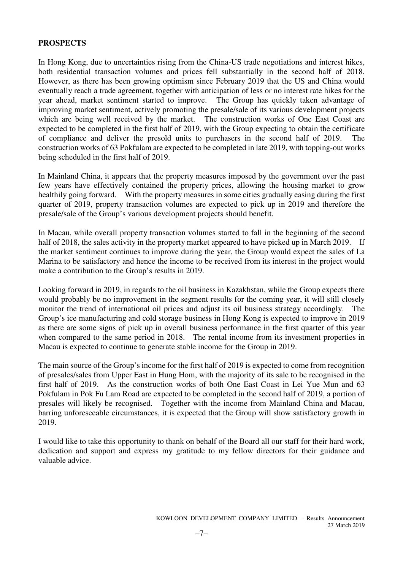# **PROSPECTS**

In Hong Kong, due to uncertainties rising from the China-US trade negotiations and interest hikes, both residential transaction volumes and prices fell substantially in the second half of 2018. However, as there has been growing optimism since February 2019 that the US and China would eventually reach a trade agreement, together with anticipation of less or no interest rate hikes for the year ahead, market sentiment started to improve. The Group has quickly taken advantage of improving market sentiment, actively promoting the presale/sale of its various development projects which are being well received by the market. The construction works of One East Coast are expected to be completed in the first half of 2019, with the Group expecting to obtain the certificate of compliance and deliver the presold units to purchasers in the second half of 2019. The construction works of 63 Pokfulam are expected to be completed in late 2019, with topping-out works being scheduled in the first half of 2019.

In Mainland China, it appears that the property measures imposed by the government over the past few years have effectively contained the property prices, allowing the housing market to grow healthily going forward. With the property measures in some cities gradually easing during the first quarter of 2019, property transaction volumes are expected to pick up in 2019 and therefore the presale/sale of the Group's various development projects should benefit.

In Macau, while overall property transaction volumes started to fall in the beginning of the second half of 2018, the sales activity in the property market appeared to have picked up in March 2019. If the market sentiment continues to improve during the year, the Group would expect the sales of La Marina to be satisfactory and hence the income to be received from its interest in the project would make a contribution to the Group's results in 2019.

Looking forward in 2019, in regards to the oil business in Kazakhstan, while the Group expects there would probably be no improvement in the segment results for the coming year, it will still closely monitor the trend of international oil prices and adjust its oil business strategy accordingly. The Group's ice manufacturing and cold storage business in Hong Kong is expected to improve in 2019 as there are some signs of pick up in overall business performance in the first quarter of this year when compared to the same period in 2018. The rental income from its investment properties in Macau is expected to continue to generate stable income for the Group in 2019.

The main source of the Group's income for the first half of 2019 is expected to come from recognition of presales/sales from Upper East in Hung Hom, with the majority of its sale to be recognised in the first half of 2019. As the construction works of both One East Coast in Lei Yue Mun and 63 Pokfulam in Pok Fu Lam Road are expected to be completed in the second half of 2019, a portion of presales will likely be recognised. Together with the income from Mainland China and Macau, barring unforeseeable circumstances, it is expected that the Group will show satisfactory growth in 2019.

I would like to take this opportunity to thank on behalf of the Board all our staff for their hard work, dedication and support and express my gratitude to my fellow directors for their guidance and valuable advice.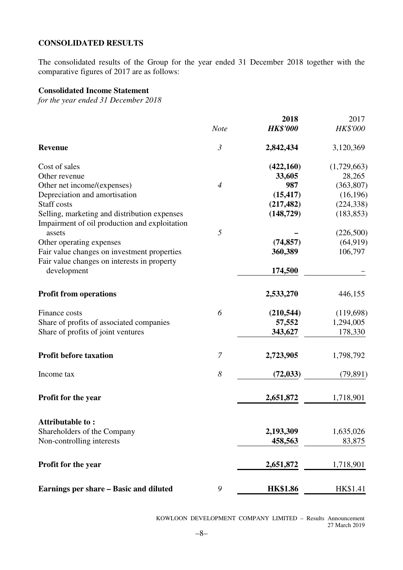# **CONSOLIDATED RESULTS**

The consolidated results of the Group for the year ended 31 December 2018 together with the comparative figures of 2017 are as follows:

# **Consolidated Income Statement**

*for the year ended 31 December 2018* 

|                                               | <b>Note</b>    | 2018<br><b>HK\$'000</b> | 2017<br>HK\$'000 |
|-----------------------------------------------|----------------|-------------------------|------------------|
| <b>Revenue</b>                                | $\mathfrak{Z}$ | 2,842,434               | 3,120,369        |
| Cost of sales                                 |                | (422,160)               | (1,729,663)      |
| Other revenue                                 |                | 33,605                  | 28,265           |
| Other net income/(expenses)                   | $\overline{4}$ | 987                     | (363, 807)       |
| Depreciation and amortisation                 |                | (15, 417)               | (16, 196)        |
| Staff costs                                   |                | (217, 482)              | (224, 338)       |
| Selling, marketing and distribution expenses  |                | (148, 729)              | (183, 853)       |
| Impairment of oil production and exploitation |                |                         |                  |
| assets                                        | 5              |                         | (226,500)        |
| Other operating expenses                      |                | (74, 857)               | (64, 919)        |
| Fair value changes on investment properties   |                | 360,389                 | 106,797          |
| Fair value changes on interests in property   |                |                         |                  |
| development                                   |                | 174,500                 |                  |
| <b>Profit from operations</b>                 |                | 2,533,270               | 446,155          |
| Finance costs                                 | 6              | (210, 544)              | (119,698)        |
| Share of profits of associated companies      |                | 57,552                  | 1,294,005        |
| Share of profits of joint ventures            |                | 343,627                 | 178,330          |
| <b>Profit before taxation</b>                 | $\mathcal{I}$  | 2,723,905               | 1,798,792        |
| Income tax                                    | 8              | (72, 033)               | (79, 891)        |
| Profit for the year                           |                | 2,651,872               | 1,718,901        |
| Attributable to:                              |                |                         |                  |
| Shareholders of the Company                   |                | 2,193,309               | 1,635,026        |
| Non-controlling interests                     |                | 458,563                 | 83,875           |
|                                               |                |                         |                  |
| Profit for the year                           |                | 2,651,872               | 1,718,901        |
| Earnings per share – Basic and diluted        | 9              | <b>HK\$1.86</b>         | HK\$1.41         |

KOWLOON DEVELOPMENT COMPANY LIMITED – Results Announcement 27 March 2019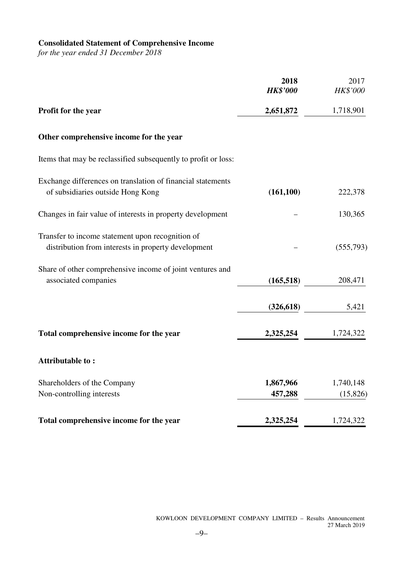# **Consolidated Statement of Comprehensive Income**

*for the year ended 31 December 2018* 

|                                                                                                         | 2018<br><b>HK\$'000</b> | 2017<br>HK\$'000      |
|---------------------------------------------------------------------------------------------------------|-------------------------|-----------------------|
| Profit for the year                                                                                     | 2,651,872               | 1,718,901             |
| Other comprehensive income for the year                                                                 |                         |                       |
| Items that may be reclassified subsequently to profit or loss:                                          |                         |                       |
| Exchange differences on translation of financial statements<br>of subsidiaries outside Hong Kong        | (161, 100)              | 222,378               |
| Changes in fair value of interests in property development                                              |                         | 130,365               |
| Transfer to income statement upon recognition of<br>distribution from interests in property development |                         | (555,793)             |
| Share of other comprehensive income of joint ventures and<br>associated companies                       | (165, 518)              | 208,471               |
|                                                                                                         | (326, 618)              | 5,421                 |
| Total comprehensive income for the year                                                                 | 2,325,254               | 1,724,322             |
| <b>Attributable to:</b>                                                                                 |                         |                       |
| Shareholders of the Company<br>Non-controlling interests                                                | 1,867,966<br>457,288    | 1,740,148<br>(15,826) |
| Total comprehensive income for the year                                                                 | 2,325,254               | 1,724,322             |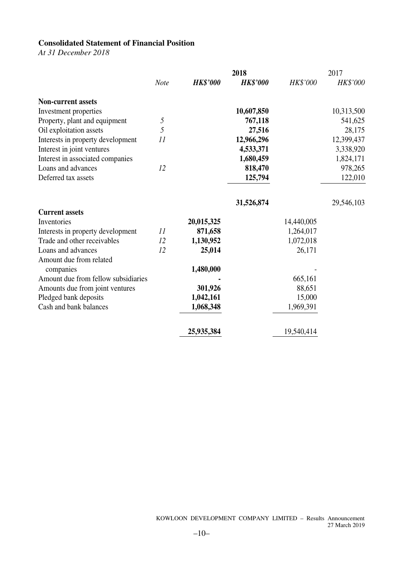# **Consolidated Statement of Financial Position**

*At 31 December 2018* 

|                                     |             |                 | 2018            |            | 2017       |
|-------------------------------------|-------------|-----------------|-----------------|------------|------------|
|                                     | <b>Note</b> | <b>HK\$'000</b> | <b>HK\$'000</b> | HK\$'000   | HK\$'000   |
| <b>Non-current assets</b>           |             |                 |                 |            |            |
| Investment properties               |             |                 | 10,607,850      |            | 10,313,500 |
| Property, plant and equipment       | 5           |                 | 767,118         |            | 541,625    |
| Oil exploitation assets             | 5           |                 | 27,516          |            | 28,175     |
| Interests in property development   | 11          |                 | 12,966,296      |            | 12,399,437 |
| Interest in joint ventures          |             |                 | 4,533,371       |            | 3,338,920  |
| Interest in associated companies    |             |                 | 1,680,459       |            | 1,824,171  |
| Loans and advances                  | 12          |                 | 818,470         |            | 978,265    |
| Deferred tax assets                 |             |                 | 125,794         |            | 122,010    |
|                                     |             |                 | 31,526,874      |            | 29,546,103 |
| <b>Current assets</b>               |             |                 |                 |            |            |
| Inventories                         |             | 20,015,325      |                 | 14,440,005 |            |
| Interests in property development   | 11          | 871,658         |                 | 1,264,017  |            |
| Trade and other receivables         | 12          | 1,130,952       |                 | 1,072,018  |            |
| Loans and advances                  | 12          | 25,014          |                 | 26,171     |            |
| Amount due from related             |             |                 |                 |            |            |
| companies                           |             | 1,480,000       |                 |            |            |
| Amount due from fellow subsidiaries |             |                 |                 | 665,161    |            |
| Amounts due from joint ventures     |             | 301,926         |                 | 88,651     |            |
| Pledged bank deposits               |             | 1,042,161       |                 | 15,000     |            |
| Cash and bank balances              |             | 1,068,348       |                 | 1,969,391  |            |
|                                     |             | 25,935,384      |                 | 19,540,414 |            |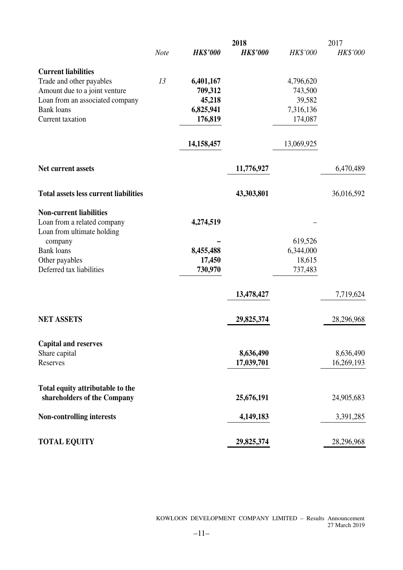|                                              |             |                 | 2018            |            | 2017            |
|----------------------------------------------|-------------|-----------------|-----------------|------------|-----------------|
|                                              | <b>Note</b> | <b>HK\$'000</b> | <b>HK\$'000</b> | HK\$'000   | <b>HK\$'000</b> |
| <b>Current liabilities</b>                   |             |                 |                 |            |                 |
| Trade and other payables                     | 13          | 6,401,167       |                 | 4,796,620  |                 |
| Amount due to a joint venture                |             | 709,312         |                 | 743,500    |                 |
| Loan from an associated company              |             | 45,218          |                 | 39,582     |                 |
| <b>Bank</b> loans                            |             | 6,825,941       |                 | 7,316,136  |                 |
| Current taxation                             |             | 176,819         |                 | 174,087    |                 |
|                                              |             | 14,158,457      |                 | 13,069,925 |                 |
| Net current assets                           |             |                 | 11,776,927      |            | 6,470,489       |
|                                              |             |                 |                 |            |                 |
| <b>Total assets less current liabilities</b> |             |                 | 43,303,801      |            | 36,016,592      |
| <b>Non-current liabilities</b>               |             |                 |                 |            |                 |
| Loan from a related company                  |             | 4,274,519       |                 |            |                 |
| Loan from ultimate holding                   |             |                 |                 |            |                 |
| company                                      |             |                 |                 | 619,526    |                 |
| <b>Bank</b> loans                            |             | 8,455,488       |                 | 6,344,000  |                 |
| Other payables<br>Deferred tax liabilities   |             | 17,450          |                 | 18,615     |                 |
|                                              |             | 730,970         |                 | 737,483    |                 |
|                                              |             |                 | 13,478,427      |            | 7,719,624       |
| <b>NET ASSETS</b>                            |             |                 | 29,825,374      |            | 28,296,968      |
|                                              |             |                 |                 |            |                 |
| <b>Capital and reserves</b>                  |             |                 |                 |            |                 |
| Share capital                                |             |                 | 8,636,490       |            | 8,636,490       |
| Reserves                                     |             |                 | 17,039,701      |            | 16,269,193      |
| Total equity attributable to the             |             |                 |                 |            |                 |
| shareholders of the Company                  |             |                 | 25,676,191      |            | 24,905,683      |
| Non-controlling interests                    |             |                 | 4,149,183       |            | 3,391,285       |
| <b>TOTAL EQUITY</b>                          |             |                 | 29,825,374      |            | 28,296,968      |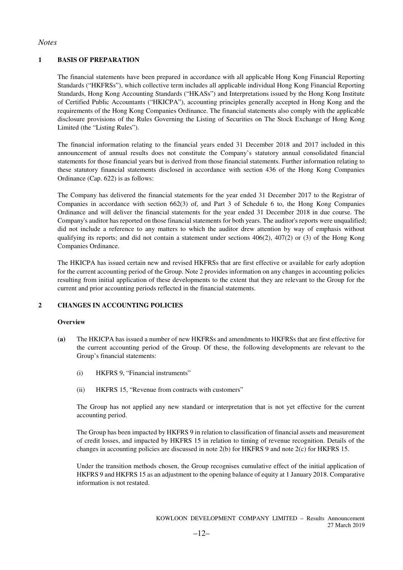#### *Notes*

#### **1 BASIS OF PREPARATION**

The financial statements have been prepared in accordance with all applicable Hong Kong Financial Reporting Standards ("HKFRSs"), which collective term includes all applicable individual Hong Kong Financial Reporting Standards, Hong Kong Accounting Standards ("HKASs") and Interpretations issued by the Hong Kong Institute of Certified Public Accountants ("HKICPA"), accounting principles generally accepted in Hong Kong and the requirements of the Hong Kong Companies Ordinance. The financial statements also comply with the applicable disclosure provisions of the Rules Governing the Listing of Securities on The Stock Exchange of Hong Kong Limited (the "Listing Rules").

The financial information relating to the financial years ended 31 December 2018 and 2017 included in this announcement of annual results does not constitute the Company's statutory annual consolidated financial statements for those financial years but is derived from those financial statements. Further information relating to these statutory financial statements disclosed in accordance with section 436 of the Hong Kong Companies Ordinance (Cap. 622) is as follows:

The Company has delivered the financial statements for the year ended 31 December 2017 to the Registrar of Companies in accordance with section 662(3) of, and Part 3 of Schedule 6 to, the Hong Kong Companies Ordinance and will deliver the financial statements for the year ended 31 December 2018 in due course. The Company's auditor has reported on those financial statements for both years. The auditor's reports were unqualified; did not include a reference to any matters to which the auditor drew attention by way of emphasis without qualifying its reports; and did not contain a statement under sections 406(2), 407(2) or (3) of the Hong Kong Companies Ordinance.

The HKICPA has issued certain new and revised HKFRSs that are first effective or available for early adoption for the current accounting period of the Group. Note 2 provides information on any changes in accounting policies resulting from initial application of these developments to the extent that they are relevant to the Group for the current and prior accounting periods reflected in the financial statements.

#### **2 CHANGES IN ACCOUNTING POLICIES**

#### **Overview**

- **(a)** The HKICPA has issued a number of new HKFRSs and amendments to HKFRSs that are first effective for the current accounting period of the Group. Of these, the following developments are relevant to the Group's financial statements:
	- (i) HKFRS 9, "Financial instruments"
	- (ii) HKFRS 15, "Revenue from contracts with customers"

The Group has not applied any new standard or interpretation that is not yet effective for the current accounting period.

The Group has been impacted by HKFRS 9 in relation to classification of financial assets and measurement of credit losses, and impacted by HKFRS 15 in relation to timing of revenue recognition. Details of the changes in accounting policies are discussed in note 2(b) for HKFRS 9 and note 2(c) for HKFRS 15.

Under the transition methods chosen, the Group recognises cumulative effect of the initial application of HKFRS 9 and HKFRS 15 as an adjustment to the opening balance of equity at 1 January 2018. Comparative information is not restated.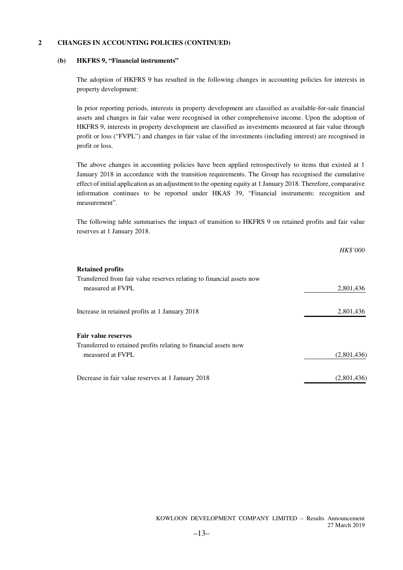#### **(b) HKFRS 9, "Financial instruments"**

The adoption of HKFRS 9 has resulted in the following changes in accounting policies for interests in property development:

In prior reporting periods, interests in property development are classified as available-for-sale financial assets and changes in fair value were recognised in other comprehensive income. Upon the adoption of HKFRS 9, interests in property development are classified as investments measured at fair value through profit or loss ("FVPL") and changes in fair value of the investments (including interest) are recognised in profit or loss.

The above changes in accounting policies have been applied retrospectively to items that existed at 1 January 2018 in accordance with the transition requirements. The Group has recognised the cumulative effect of initial application as an adjustment to the opening equity at 1 January 2018. Therefore, comparative information continues to be reported under HKAS 39, "Financial instruments: recognition and measurement".

The following table summarises the impact of transition to HKFRS 9 on retained profits and fair value reserves at 1 January 2018.

|                                                                       | HK\$'000    |
|-----------------------------------------------------------------------|-------------|
| <b>Retained profits</b>                                               |             |
| Transferred from fair value reserves relating to financial assets now |             |
| measured at FVPL                                                      | 2,801,436   |
| Increase in retained profits at 1 January 2018                        | 2,801,436   |
| <b>Fair value reserves</b>                                            |             |
| Transferred to retained profits relating to financial assets now      |             |
| measured at FVPL                                                      | (2,801,436) |
| Decrease in fair value reserves at 1 January 2018                     | (2,801,436) |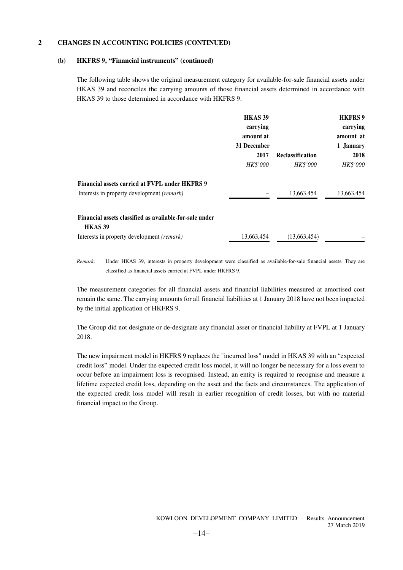#### **(b) HKFRS 9, "Financial instruments" (continued)**

The following table shows the original measurement category for available-for-sale financial assets under HKAS 39 and reconciles the carrying amounts of those financial assets determined in accordance with HKAS 39 to those determined in accordance with HKFRS 9.

|                                                         | HKAS <sub>39</sub> |                         | <b>HKFRS9</b>   |
|---------------------------------------------------------|--------------------|-------------------------|-----------------|
|                                                         | carrying           |                         | carrying        |
|                                                         | amount at          |                         | amount at       |
|                                                         | 31 December        |                         | 1 January       |
|                                                         | 2017               | <b>Reclassification</b> | 2018            |
|                                                         | <b>HK\$'000</b>    | <b>HK\$'000</b>         | <i>HK\$'000</i> |
| Financial assets carried at FVPL under HKFRS 9          |                    |                         |                 |
| Interests in property development <i>(remark)</i>       |                    | 13,663,454              | 13,663,454      |
| Financial assets classified as available-for-sale under |                    |                         |                 |
| HKAS <sub>39</sub>                                      |                    |                         |                 |
| Interests in property development (remark)              | 13,663,454         | (13,663,454)            |                 |

*Remark:* Under HKAS 39, interests in property development were classified as available-for-sale financial assets. They are classified as financial assets carried at FVPL under HKFRS 9.

The measurement categories for all financial assets and financial liabilities measured at amortised cost remain the same. The carrying amounts for all financial liabilities at 1 January 2018 have not been impacted by the initial application of HKFRS 9.

The Group did not designate or de-designate any financial asset or financial liability at FVPL at 1 January 2018.

The new impairment model in HKFRS 9 replaces the "incurred loss" model in HKAS 39 with an "expected credit loss" model. Under the expected credit loss model, it will no longer be necessary for a loss event to occur before an impairment loss is recognised. Instead, an entity is required to recognise and measure a lifetime expected credit loss, depending on the asset and the facts and circumstances. The application of the expected credit loss model will result in earlier recognition of credit losses, but with no material financial impact to the Group.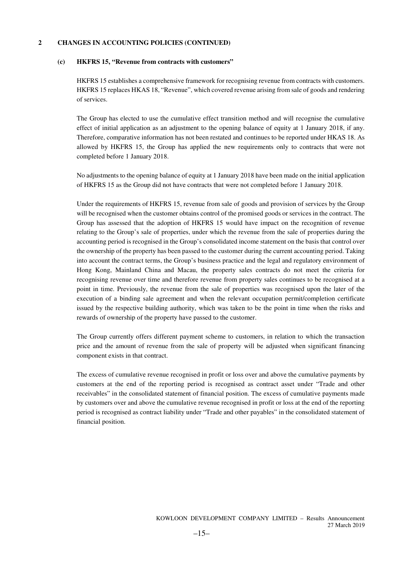#### **(c) HKFRS 15, "Revenue from contracts with customers"**

HKFRS 15 establishes a comprehensive framework for recognising revenue from contracts with customers. HKFRS 15 replaces HKAS 18, "Revenue", which covered revenue arising from sale of goods and rendering of services.

The Group has elected to use the cumulative effect transition method and will recognise the cumulative effect of initial application as an adjustment to the opening balance of equity at 1 January 2018, if any. Therefore, comparative information has not been restated and continues to be reported under HKAS 18. As allowed by HKFRS 15, the Group has applied the new requirements only to contracts that were not completed before 1 January 2018.

No adjustments to the opening balance of equity at 1 January 2018 have been made on the initial application of HKFRS 15 as the Group did not have contracts that were not completed before 1 January 2018.

Under the requirements of HKFRS 15, revenue from sale of goods and provision of services by the Group will be recognised when the customer obtains control of the promised goods or services in the contract. The Group has assessed that the adoption of HKFRS 15 would have impact on the recognition of revenue relating to the Group's sale of properties, under which the revenue from the sale of properties during the accounting period is recognised in the Group's consolidated income statement on the basis that control over the ownership of the property has been passed to the customer during the current accounting period. Taking into account the contract terms, the Group's business practice and the legal and regulatory environment of Hong Kong, Mainland China and Macau, the property sales contracts do not meet the criteria for recognising revenue over time and therefore revenue from property sales continues to be recognised at a point in time. Previously, the revenue from the sale of properties was recognised upon the later of the execution of a binding sale agreement and when the relevant occupation permit/completion certificate issued by the respective building authority, which was taken to be the point in time when the risks and rewards of ownership of the property have passed to the customer.

The Group currently offers different payment scheme to customers, in relation to which the transaction price and the amount of revenue from the sale of property will be adjusted when significant financing component exists in that contract.

The excess of cumulative revenue recognised in profit or loss over and above the cumulative payments by customers at the end of the reporting period is recognised as contract asset under "Trade and other receivables" in the consolidated statement of financial position. The excess of cumulative payments made by customers over and above the cumulative revenue recognised in profit or loss at the end of the reporting period is recognised as contract liability under "Trade and other payables" in the consolidated statement of financial position.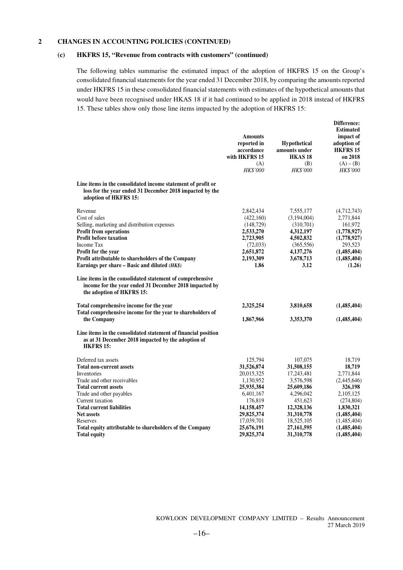#### **(c) HKFRS 15, "Revenue from contracts with customers" (continued)**

The following tables summarise the estimated impact of the adoption of HKFRS 15 on the Group's consolidated financial statements for the year ended 31 December 2018, by comparing the amounts reported under HKFRS 15 in these consolidated financial statements with estimates of the hypothetical amounts that would have been recognised under HKAS 18 if it had continued to be applied in 2018 instead of HKFRS 15. These tables show only those line items impacted by the adoption of HKFRS 15:

|                                                                                                                                                   | <b>Amounts</b><br>reported in<br>accordance<br>with HKFRS 15<br>(A)<br><b>HK\$'000</b> | <b>Hypothetical</b><br>amounts under<br><b>HKAS18</b><br>(B)<br><b>HK\$'000</b> | Difference:<br><b>Estimated</b><br>impact of<br>adoption of<br><b>HKFRS 15</b><br>on 2018<br>$(A) - (B)$<br><b>HK\$'000</b> |
|---------------------------------------------------------------------------------------------------------------------------------------------------|----------------------------------------------------------------------------------------|---------------------------------------------------------------------------------|-----------------------------------------------------------------------------------------------------------------------------|
| Line items in the consolidated income statement of profit or<br>loss for the year ended 31 December 2018 impacted by the<br>adoption of HKFRS 15: |                                                                                        |                                                                                 |                                                                                                                             |
| Revenue<br>Cost of sales<br>Selling, marketing and distribution expenses                                                                          | 2,842,434<br>(422,160)<br>(148, 729)                                                   | 7,555,177<br>(3,194,004)<br>(310,701)                                           | (4,712,743)<br>2,771,844<br>161,972                                                                                         |
| Profit from operations                                                                                                                            | 2,533,270                                                                              | 4,312,197                                                                       | (1,778,927)                                                                                                                 |
| Profit before taxation                                                                                                                            | 2,723,905                                                                              | 4,502,832                                                                       | (1,778,927)                                                                                                                 |
| Income Tax                                                                                                                                        | (72, 033)                                                                              | (365, 556)                                                                      | 293,523                                                                                                                     |
| Profit for the year                                                                                                                               | 2,651,872<br>2,193,309                                                                 | 4,137,276<br>3,678,713                                                          | (1,485,404)                                                                                                                 |
| Profit attributable to shareholders of the Company<br>Earnings per share – Basic and diluted $(HK\$                                               | 1.86                                                                                   | 3.12                                                                            | (1,485,404)<br>(1.26)                                                                                                       |
| Line items in the consolidated statement of comprehensive<br>income for the year ended 31 December 2018 impacted by<br>the adoption of HKFRS 15:  |                                                                                        |                                                                                 |                                                                                                                             |
| Total comprehensive income for the year<br>Total comprehensive income for the year to shareholders of                                             | 2,325,254                                                                              | 3,810,658                                                                       | (1,485,404)                                                                                                                 |
| the Company                                                                                                                                       | 1,867,966                                                                              | 3,353,370                                                                       | (1,485,404)                                                                                                                 |
| Line items in the consolidated statement of financial position<br>as at 31 December 2018 impacted by the adoption of<br><b>HKFRS 15:</b>          |                                                                                        |                                                                                 |                                                                                                                             |
| Deferred tax assets                                                                                                                               | 125,794                                                                                | 107,075                                                                         | 18,719                                                                                                                      |
| <b>Total non-current assets</b>                                                                                                                   | 31,526,874                                                                             | 31,508,155                                                                      | 18,719                                                                                                                      |
| Inventories                                                                                                                                       | 20,015,325                                                                             | 17,243,481                                                                      | 2,771,844                                                                                                                   |
| Trade and other receivables                                                                                                                       | 1,130,952                                                                              | 3,576,598                                                                       | (2,445,646)                                                                                                                 |
| <b>Total current assets</b>                                                                                                                       | 25,935,384                                                                             | 25,609,186                                                                      | 326,198                                                                                                                     |
| Trade and other payables                                                                                                                          | 6,401,167                                                                              | 4,296,042                                                                       | 2,105,125                                                                                                                   |
| Current taxation<br><b>Total current liabilities</b>                                                                                              | 176,819                                                                                | 451,623                                                                         | (274, 804)                                                                                                                  |
| <b>Net assets</b>                                                                                                                                 | 14,158,457<br>29,825,374                                                               | 12,328,136<br>31,310,778                                                        | 1,830,321<br>(1,485,404)                                                                                                    |
| Reserves                                                                                                                                          | 17,039,701                                                                             | 18,525,105                                                                      | (1,485,404)                                                                                                                 |
| Total equity attributable to shareholders of the Company                                                                                          | 25,676,191                                                                             | 27,161,595                                                                      | (1,485,404)                                                                                                                 |
| <b>Total equity</b>                                                                                                                               | 29,825,374                                                                             | 31,310,778                                                                      | (1,485,404)                                                                                                                 |

KOWLOON DEVELOPMENT COMPANY LIMITED – Results Announcement 27 March 2019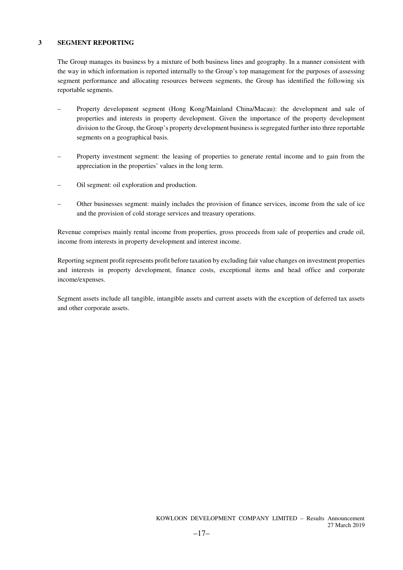#### **3 SEGMENT REPORTING**

The Group manages its business by a mixture of both business lines and geography. In a manner consistent with the way in which information is reported internally to the Group's top management for the purposes of assessing segment performance and allocating resources between segments, the Group has identified the following six reportable segments.

- Property development segment (Hong Kong/Mainland China/Macau): the development and sale of properties and interests in property development. Given the importance of the property development division to the Group, the Group's property development business is segregated further into three reportable segments on a geographical basis.
- Property investment segment: the leasing of properties to generate rental income and to gain from the appreciation in the properties' values in the long term.
- Oil segment: oil exploration and production.
- Other businesses segment: mainly includes the provision of finance services, income from the sale of ice and the provision of cold storage services and treasury operations.

Revenue comprises mainly rental income from properties, gross proceeds from sale of properties and crude oil, income from interests in property development and interest income.

Reporting segment profit represents profit before taxation by excluding fair value changes on investment properties and interests in property development, finance costs, exceptional items and head office and corporate income/expenses.

Segment assets include all tangible, intangible assets and current assets with the exception of deferred tax assets and other corporate assets.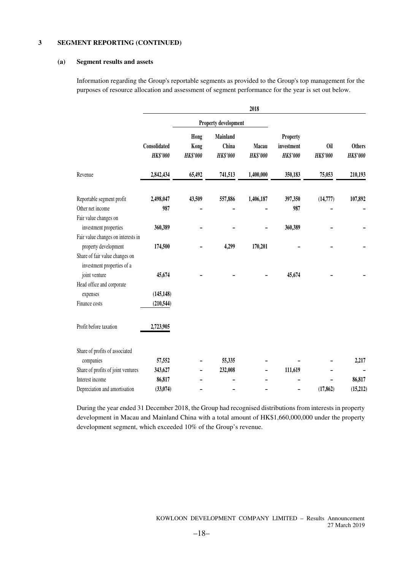#### **(a) Segment results and assets**

Information regarding the Group's reportable segments as provided to the Group's top management for the purposes of resource allocation and assessment of segment performance for the year is set out below.

|                                                              |                                 |                                 |                                      | 2018                     |                                           |                        |                                  |
|--------------------------------------------------------------|---------------------------------|---------------------------------|--------------------------------------|--------------------------|-------------------------------------------|------------------------|----------------------------------|
|                                                              |                                 | Property development            |                                      |                          |                                           |                        |                                  |
|                                                              | Consolidated<br><b>HK\$'000</b> | Hong<br>Kong<br><b>HK\$'000</b> | Mainland<br>China<br><b>HK\$'000</b> | Macau<br><b>HK\$'000</b> | Property<br>investment<br><b>HK\$'000</b> | 0il<br><b>HK\$'000</b> | <b>Others</b><br><b>HK\$'000</b> |
| Revenue                                                      | 2,842,434                       | 65,492                          | 741,513                              | 1,400,000                | 350,183                                   | 75,053                 | 210,193                          |
| Reportable segment profit                                    | 2,498,047                       | 43,509                          | 557,886                              | 1,406,187                | 397,350                                   | (14, 777)              | 107,892                          |
| Other net income                                             | 987                             |                                 |                                      |                          | 987                                       |                        |                                  |
| Fair value changes on                                        |                                 |                                 |                                      |                          |                                           |                        |                                  |
| investment properties                                        | 360,389                         |                                 |                                      |                          | 360,389                                   |                        |                                  |
| Fair value changes on interests in                           |                                 |                                 |                                      |                          |                                           |                        |                                  |
| property development                                         | 174,500                         |                                 | 4,299                                | 170,201                  |                                           |                        |                                  |
| Share of fair value changes on<br>investment properties of a |                                 |                                 |                                      |                          |                                           |                        |                                  |
| joint venture                                                | 45,674                          |                                 |                                      |                          | 45,674                                    |                        |                                  |
| Head office and corporate                                    |                                 |                                 |                                      |                          |                                           |                        |                                  |
| expenses                                                     | (145, 148)                      |                                 |                                      |                          |                                           |                        |                                  |
| Finance costs                                                | (210, 544)                      |                                 |                                      |                          |                                           |                        |                                  |
| Profit before taxation                                       | 2,723,905                       |                                 |                                      |                          |                                           |                        |                                  |
| Share of profits of associated                               |                                 |                                 |                                      |                          |                                           |                        |                                  |
| companies                                                    | 57,552                          |                                 | 55,335                               |                          |                                           |                        | 2,217                            |
| Share of profits of joint ventures                           | 343,627                         |                                 | 232,008                              |                          | 111,619                                   |                        |                                  |
| Interest income                                              | 86,817                          |                                 |                                      |                          |                                           |                        | 86,817                           |
| Depreciation and amortisation                                | (33,074)                        |                                 |                                      |                          |                                           | (17, 862)              | (15,212)                         |

During the year ended 31 December 2018, the Group had recognised distributions from interests in property development in Macau and Mainland China with a total amount of HK\$1,660,000,000 under the property development segment, which exceeded 10% of the Group's revenue.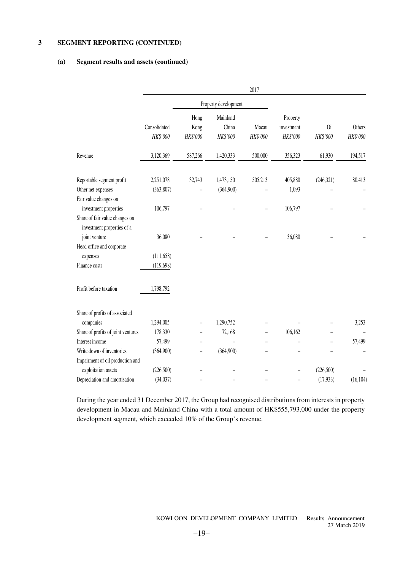#### **(a) Segment results and assets (continued)**

|                                                              |                          |                          |                               | 2017              |                                    |                        |                           |
|--------------------------------------------------------------|--------------------------|--------------------------|-------------------------------|-------------------|------------------------------------|------------------------|---------------------------|
|                                                              |                          |                          | Property development          |                   |                                    |                        |                           |
|                                                              | Consolidated<br>HK\$'000 | Hong<br>Kong<br>HK\$'000 | Mainland<br>China<br>HK\$'000 | Macau<br>HK\$'000 | Property<br>investment<br>HK\$'000 | <b>Oil</b><br>HK\$'000 | <b>Others</b><br>HK\$'000 |
| Revenue                                                      | 3,120,369                | 587,266                  | 1,420,333                     | 500,000           | 356,323                            | 61,930                 | 194,517                   |
| Reportable segment profit                                    | 2,251,078                | 32,743                   | 1,473,150                     | 505,213           | 405,880                            | (246, 321)             | 80,413                    |
| Other net expenses                                           | (363, 807)               |                          | (364,900)                     |                   | 1,093                              |                        |                           |
| Fair value changes on                                        |                          |                          |                               |                   |                                    |                        |                           |
| investment properties                                        | 106,797                  |                          |                               |                   | 106,797                            |                        |                           |
| Share of fair value changes on<br>investment properties of a |                          |                          |                               |                   |                                    |                        |                           |
| joint venture                                                | 36,080                   |                          |                               |                   | 36,080                             |                        |                           |
| Head office and corporate                                    |                          |                          |                               |                   |                                    |                        |                           |
| expenses                                                     | (111, 658)               |                          |                               |                   |                                    |                        |                           |
| Finance costs                                                | (119, 698)               |                          |                               |                   |                                    |                        |                           |
| Profit before taxation                                       | 1,798,792                |                          |                               |                   |                                    |                        |                           |
| Share of profits of associated                               |                          |                          |                               |                   |                                    |                        |                           |
| companies                                                    | 1,294,005                |                          | 1,290,752                     |                   |                                    |                        | 3,253                     |
| Share of profits of joint ventures                           | 178,330                  |                          | 72,168                        |                   | 106,162                            |                        |                           |
| Interest income                                              | 57,499                   |                          |                               |                   |                                    |                        | 57,499                    |
| Write down of inventories                                    | (364,900)                |                          | (364,900)                     |                   |                                    |                        |                           |
| Impairment of oil production and                             |                          |                          |                               |                   |                                    |                        |                           |
| exploitation assets                                          | (226, 500)               |                          |                               |                   |                                    | (226,500)              |                           |
| Depreciation and amortisation                                | (34,037)                 |                          |                               |                   |                                    | (17,933)               | (16, 104)                 |

During the year ended 31 December 2017, the Group had recognised distributions from interests in property development in Macau and Mainland China with a total amount of HK\$555,793,000 under the property development segment, which exceeded 10% of the Group's revenue.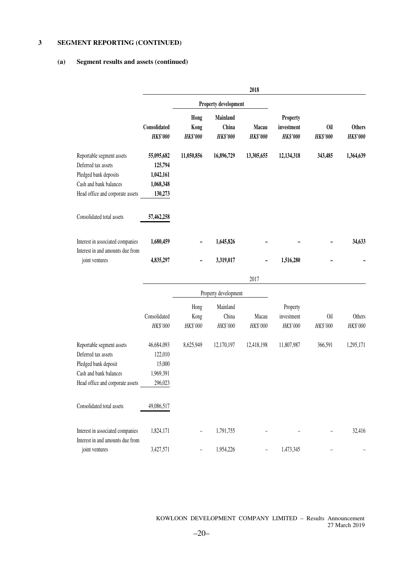### **(a) Segment results and assets (continued)**

|                                                                                                                                         |                                                            |                                 |                                      | 2018                     |                                           |                        |                                  |
|-----------------------------------------------------------------------------------------------------------------------------------------|------------------------------------------------------------|---------------------------------|--------------------------------------|--------------------------|-------------------------------------------|------------------------|----------------------------------|
|                                                                                                                                         | Property development                                       |                                 |                                      |                          |                                           |                        |                                  |
|                                                                                                                                         | Consolidated<br><b>HK\$'000</b>                            | Hong<br>Kong<br><b>HK\$'000</b> | Mainland<br>China<br><b>HK\$'000</b> | Macau<br><b>HK\$'000</b> | Property<br>investment<br><b>HK\$'000</b> | Oil<br><b>HK\$'000</b> | <b>Others</b><br><b>HK\$'000</b> |
| Reportable segment assets<br>Deferred tax assets<br>Pledged bank deposits<br>Cash and bank balances<br>Head office and corporate assets | 55,095,682<br>125,794<br>1,042,161<br>1,068,348<br>130,273 | 11,050,856                      | 16,896,729                           | 13,305,655               | 12,134,318                                | 343,485                | 1,364,639                        |
| Consolidated total assets                                                                                                               | 57,462,258                                                 |                                 |                                      |                          |                                           |                        |                                  |
| Interest in associated companies<br>Interest in and amounts due from<br>joint ventures                                                  | 1,680,459<br>4,835,297                                     |                                 | 1,645,826<br>3,319,017               |                          | 1,516,280                                 |                        | 34,633                           |
|                                                                                                                                         |                                                            |                                 |                                      | 2017                     |                                           |                        |                                  |
|                                                                                                                                         |                                                            |                                 | Property development                 |                          |                                           |                        |                                  |
|                                                                                                                                         | Consolidated<br>HK\$'000                                   | Hong<br>Kong<br>HK\$'000        | Mainland<br>China<br>HK\$'000        | Macau<br>HK\$'000        | Property<br>investment<br>HK\$'000        | 0il<br>HK\$'000        | Others<br>HK\$'000               |
| Reportable segment assets<br>Deferred tax assets<br>Pledged bank deposit<br>Cash and bank balances<br>Head office and corporate assets  | 46,684,093<br>122,010<br>15,000<br>1,969,391<br>296,023    | 8,625,949                       | 12,170,197                           | 12,418,198               | 11,807,987                                | 366,591                | 1,295,171                        |
| Consolidated total assets                                                                                                               | 49,086,517                                                 |                                 |                                      |                          |                                           |                        |                                  |
| Interest in associated companies<br>Interest in and amounts due from                                                                    | 1,824,171                                                  |                                 | 1,791,755                            |                          |                                           |                        | 32,416                           |
| joint ventures                                                                                                                          | 3,427,571                                                  |                                 | 1,954,226                            |                          | 1,473,345                                 |                        |                                  |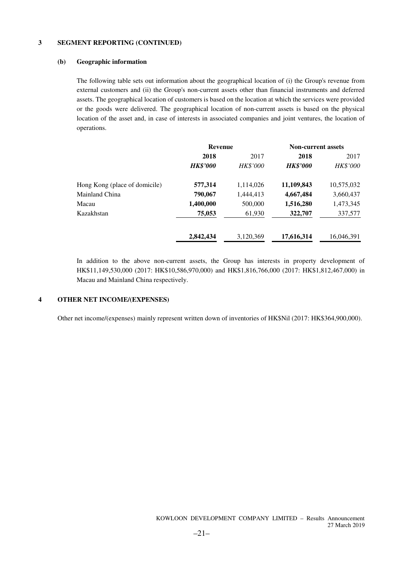#### **(b) Geographic information**

The following table sets out information about the geographical location of (i) the Group's revenue from external customers and (ii) the Group's non-current assets other than financial instruments and deferred assets. The geographical location of customers is based on the location at which the services were provided or the goods were delivered. The geographical location of non-current assets is based on the physical location of the asset and, in case of interests in associated companies and joint ventures, the location of operations.

|                               | <b>Revenue</b>  |                 |                 | <b>Non-current assets</b> |  |
|-------------------------------|-----------------|-----------------|-----------------|---------------------------|--|
|                               | 2018            | 2017            | 2018            | 2017                      |  |
|                               | <b>HK\$'000</b> | <b>HK\$'000</b> | <b>HK\$'000</b> | <b>HK\$'000</b>           |  |
| Hong Kong (place of domicile) | 577,314         | 1,114,026       | 11,109,843      | 10,575,032                |  |
| Mainland China                | 790,067         | 1,444,413       | 4,667,484       | 3,660,437                 |  |
| Macau                         | 1,400,000       | 500,000         | 1,516,280       | 1,473,345                 |  |
| Kazakhstan                    | 75,053          | 61,930          | 322,707         | 337,577                   |  |
|                               | 2,842,434       | 3,120,369       | 17,616,314      | 16,046,391                |  |

In addition to the above non-current assets, the Group has interests in property development of HK\$11,149,530,000 (2017: HK\$10,586,970,000) and HK\$1,816,766,000 (2017: HK\$1,812,467,000) in Macau and Mainland China respectively.

#### **4 OTHER NET INCOME/(EXPENSES)**

Other net income/(expenses) mainly represent written down of inventories of HK\$Nil (2017: HK\$364,900,000).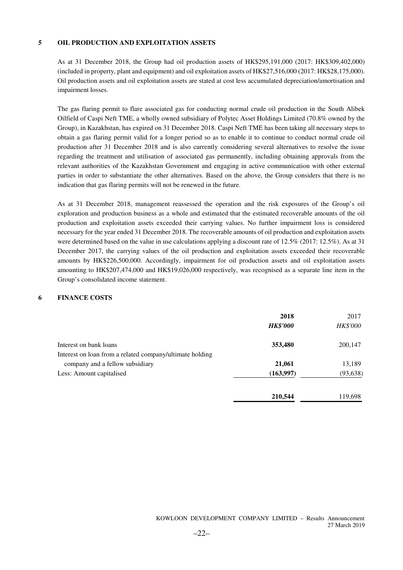#### **5 OIL PRODUCTION AND EXPLOITATION ASSETS**

As at 31 December 2018, the Group had oil production assets of HK\$295,191,000 (2017: HK\$309,402,000) (included in property, plant and equipment) and oil exploitation assets of HK\$27,516,000 (2017: HK\$28,175,000). Oil production assets and oil exploitation assets are stated at cost less accumulated depreciation/amortisation and impairment losses.

The gas flaring permit to flare associated gas for conducting normal crude oil production in the South Alibek Oilfield of Caspi Neft TME, a wholly owned subsidiary of Polytec Asset Holdings Limited (70.8% owned by the Group), in Kazakhstan, has expired on 31 December 2018. Caspi Neft TME has been taking all necessary steps to obtain a gas flaring permit valid for a longer period so as to enable it to continue to conduct normal crude oil production after 31 December 2018 and is also currently considering several alternatives to resolve the issue regarding the treatment and utilisation of associated gas permanently, including obtaining approvals from the relevant authorities of the Kazakhstan Government and engaging in active communication with other external parties in order to substantiate the other alternatives. Based on the above, the Group considers that there is no indication that gas flaring permits will not be renewed in the future.

As at 31 December 2018, management reassessed the operation and the risk exposures of the Group's oil exploration and production business as a whole and estimated that the estimated recoverable amounts of the oil production and exploitation assets exceeded their carrying values. No further impairment loss is considered necessary for the year ended 31 December 2018. The recoverable amounts of oil production and exploitation assets were determined based on the value in use calculations applying a discount rate of 12.5% (2017: 12.5%). As at 31 December 2017, the carrying values of the oil production and exploitation assets exceeded their recoverable amounts by HK\$226,500,000. Accordingly, impairment for oil production assets and oil exploitation assets amounting to HK\$207,474,000 and HK\$19,026,000 respectively, was recognised as a separate line item in the Group's consolidated income statement.

#### **6 FINANCE COSTS**

|                                                          | 2018<br><b>HK\$'000</b> | 2017<br>HK\$'000 |
|----------------------------------------------------------|-------------------------|------------------|
| Interest on bank loans                                   | 353,480                 | 200,147          |
| Interest on loan from a related company/ultimate holding |                         |                  |
| company and a fellow subsidiary                          | 21,061                  | 13,189           |
| Less: Amount capitalised                                 | (163,997)               | (93, 638)        |
|                                                          | 210,544                 | 119,698          |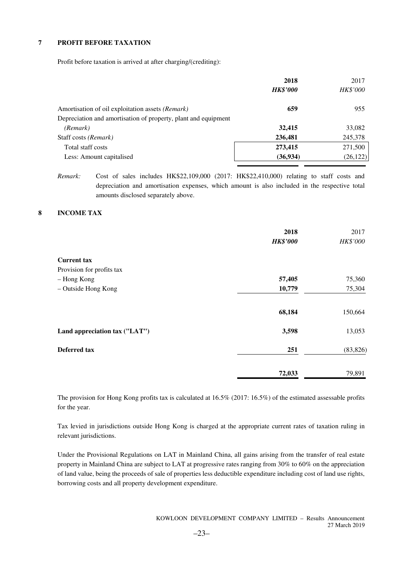#### **7 PROFIT BEFORE TAXATION**

Profit before taxation is arrived at after charging/(crediting):

|                                                                | 2018<br><b>HK\$'000</b> | 2017<br>HK\$'000 |
|----------------------------------------------------------------|-------------------------|------------------|
| Amortisation of oil exploitation assets (Remark)               | 659                     | 955              |
| Depreciation and amortisation of property, plant and equipment |                         |                  |
| (Remark)                                                       | 32,415                  | 33,082           |
| Staff costs (Remark)                                           | 236,481                 | 245,378          |
| Total staff costs                                              | 273,415                 | 271,500          |
| Less: Amount capitalised                                       | (36, 934)               | (26, 122)        |

*Remark:* Cost of sales includes HK\$22,109,000 (2017: HK\$22,410,000) relating to staff costs and depreciation and amortisation expenses, which amount is also included in the respective total amounts disclosed separately above.

#### **8 INCOME TAX**

|                                                 | 2018<br><b>HK\$'000</b> | 2017<br>HK\$'000 |
|-------------------------------------------------|-------------------------|------------------|
| <b>Current tax</b><br>Provision for profits tax |                         |                  |
| - Hong Kong                                     | 57,405                  | 75,360           |
| - Outside Hong Kong                             | 10,779                  | 75,304           |
|                                                 | 68,184                  | 150,664          |
| Land appreciation tax ("LAT")                   | 3,598                   | 13,053           |
| Deferred tax                                    | 251                     | (83, 826)        |
|                                                 | 72,033                  | 79,891           |

The provision for Hong Kong profits tax is calculated at 16.5% (2017: 16.5%) of the estimated assessable profits for the year.

Tax levied in jurisdictions outside Hong Kong is charged at the appropriate current rates of taxation ruling in relevant jurisdictions.

Under the Provisional Regulations on LAT in Mainland China, all gains arising from the transfer of real estate property in Mainland China are subject to LAT at progressive rates ranging from 30% to 60% on the appreciation of land value, being the proceeds of sale of properties less deductible expenditure including cost of land use rights, borrowing costs and all property development expenditure.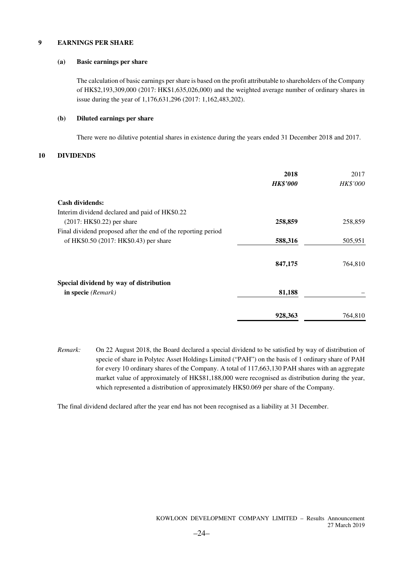#### **9 EARNINGS PER SHARE**

#### **(a) Basic earnings per share**

The calculation of basic earnings per share is based on the profit attributable to shareholders of the Company of HK\$2,193,309,000 (2017: HK\$1,635,026,000) and the weighted average number of ordinary shares in issue during the year of 1,176,631,296 (2017: 1,162,483,202).

#### **(b) Diluted earnings per share**

There were no dilutive potential shares in existence during the years ended 31 December 2018 and 2017.

#### **10 DIVIDENDS**

|                                                               | 2018<br><b>HK\$'000</b> | 2017<br>HK\$'000 |
|---------------------------------------------------------------|-------------------------|------------------|
| <b>Cash dividends:</b>                                        |                         |                  |
| Interim dividend declared and paid of HK\$0.22                |                         |                  |
| $(2017: HK$0.22)$ per share                                   | 258,859                 | 258,859          |
| Final dividend proposed after the end of the reporting period |                         |                  |
| of HK\$0.50 (2017: HK\$0.43) per share                        | 588,316                 | 505,951          |
|                                                               | 847,175                 | 764,810          |
| Special dividend by way of distribution                       |                         |                  |
| in specie (Remark)                                            | 81,188                  |                  |
|                                                               | 928,363                 | 764,810          |

*Remark:* On 22 August 2018, the Board declared a special dividend to be satisfied by way of distribution of specie of share in Polytec Asset Holdings Limited ("PAH") on the basis of 1 ordinary share of PAH for every 10 ordinary shares of the Company. A total of 117,663,130 PAH shares with an aggregate market value of approximately of HK\$81,188,000 were recognised as distribution during the year, which represented a distribution of approximately HK\$0.069 per share of the Company.

The final dividend declared after the year end has not been recognised as a liability at 31 December.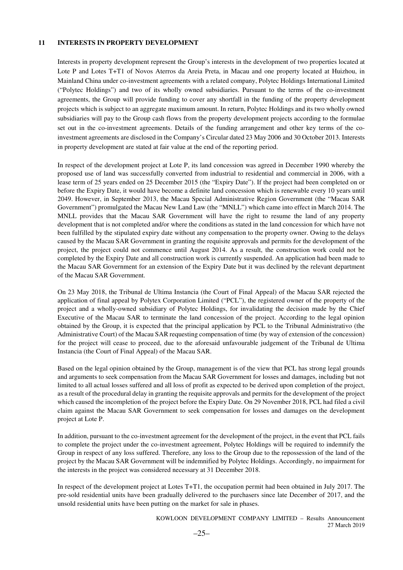#### **11 INTERESTS IN PROPERTY DEVELOPMENT**

Interests in property development represent the Group's interests in the development of two properties located at Lote P and Lotes T+T1 of Novos Aterros da Areia Preta, in Macau and one property located at Huizhou, in Mainland China under co-investment agreements with a related company, Polytec Holdings International Limited ("Polytec Holdings") and two of its wholly owned subsidiaries. Pursuant to the terms of the co-investment agreements, the Group will provide funding to cover any shortfall in the funding of the property development projects which is subject to an aggregate maximum amount. In return, Polytec Holdings and its two wholly owned subsidiaries will pay to the Group cash flows from the property development projects according to the formulae set out in the co-investment agreements. Details of the funding arrangement and other key terms of the coinvestment agreements are disclosed in the Company's Circular dated 23 May 2006 and 30 October 2013. Interests in property development are stated at fair value at the end of the reporting period.

In respect of the development project at Lote P, its land concession was agreed in December 1990 whereby the proposed use of land was successfully converted from industrial to residential and commercial in 2006, with a lease term of 25 years ended on 25 December 2015 (the "Expiry Date"). If the project had been completed on or before the Expiry Date, it would have become a definite land concession which is renewable every 10 years until 2049. However, in September 2013, the Macau Special Administrative Region Government (the "Macau SAR Government") promulgated the Macau New Land Law (the "MNLL") which came into effect in March 2014. The MNLL provides that the Macau SAR Government will have the right to resume the land of any property development that is not completed and/or where the conditions as stated in the land concession for which have not been fulfilled by the stipulated expiry date without any compensation to the property owner. Owing to the delays caused by the Macau SAR Government in granting the requisite approvals and permits for the development of the project, the project could not commence until August 2014. As a result, the construction work could not be completed by the Expiry Date and all construction work is currently suspended. An application had been made to the Macau SAR Government for an extension of the Expiry Date but it was declined by the relevant department of the Macau SAR Government.

On 23 May 2018, the Tribunal de Ultima Instancia (the Court of Final Appeal) of the Macau SAR rejected the application of final appeal by Polytex Corporation Limited ("PCL"), the registered owner of the property of the project and a wholly-owned subsidiary of Polytec Holdings, for invalidating the decision made by the Chief Executive of the Macau SAR to terminate the land concession of the project. According to the legal opinion obtained by the Group, it is expected that the principal application by PCL to the Tribunal Administrativo (the Administrative Court) of the Macau SAR requesting compensation of time (by way of extension of the concession) for the project will cease to proceed, due to the aforesaid unfavourable judgement of the Tribunal de Ultima Instancia (the Court of Final Appeal) of the Macau SAR.

Based on the legal opinion obtained by the Group, management is of the view that PCL has strong legal grounds and arguments to seek compensation from the Macau SAR Government for losses and damages, including but not limited to all actual losses suffered and all loss of profit as expected to be derived upon completion of the project, as a result of the procedural delay in granting the requisite approvals and permits for the development of the project which caused the incompletion of the project before the Expiry Date. On 29 November 2018, PCL had filed a civil claim against the Macau SAR Government to seek compensation for losses and damages on the development project at Lote P.

In addition, pursuant to the co-investment agreement for the development of the project, in the event that PCL fails to complete the project under the co-investment agreement, Polytec Holdings will be required to indemnify the Group in respect of any loss suffered. Therefore, any loss to the Group due to the repossession of the land of the project by the Macau SAR Government will be indemnified by Polytec Holdings. Accordingly, no impairment for the interests in the project was considered necessary at 31 December 2018.

In respect of the development project at Lotes T+T1, the occupation permit had been obtained in July 2017. The pre-sold residential units have been gradually delivered to the purchasers since late December of 2017, and the unsold residential units have been putting on the market for sale in phases.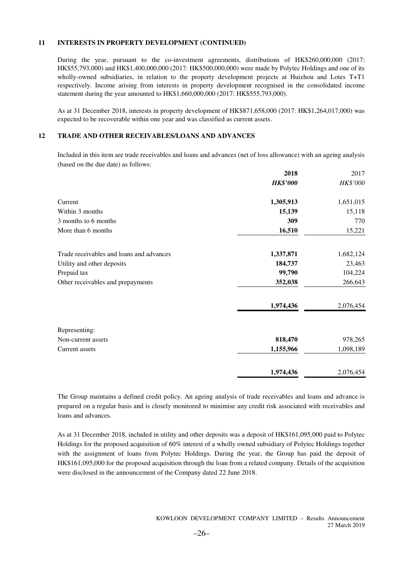#### **11 INTERESTS IN PROPERTY DEVELOPMENT (CONTINUED)**

During the year, pursuant to the co-investment agreements, distributions of HK\$260,000,000 (2017: HK\$55,793,000) and HK\$1,400,000,000 (2017: HK\$500,000,000) were made by Polytec Holdings and one of its wholly-owned subsidiaries, in relation to the property development projects at Huizhou and Lotes T+T1 respectively. Income arising from interests in property development recognised in the consolidated income statement during the year amounted to HK\$1,660,000,000 (2017: HK\$555,793,000).

As at 31 December 2018, interests in property development of HK\$871,658,000 (2017: HK\$1,264,017,000) was expected to be recoverable within one year and was classified as current assets.

#### **12 TRADE AND OTHER RECEIVABLES/LOANS AND ADVANCES**

Included in this item are trade receivables and loans and advances (net of loss allowance) with an ageing analysis (based on the due date) as follows:

|                                          | 2018            | 2017      |
|------------------------------------------|-----------------|-----------|
|                                          | <b>HK\$'000</b> | HK\$'000  |
| Current                                  | 1,305,913       | 1,651,015 |
| Within 3 months                          | 15,139          | 15,118    |
| 3 months to 6 months                     | 309             | 770       |
| More than 6 months                       | 16,510          | 15,221    |
| Trade receivables and loans and advances | 1,337,871       | 1,682,124 |
| Utility and other deposits               | 184,737         | 23,463    |
| Prepaid tax                              | 99,790          | 104,224   |
| Other receivables and prepayments        | 352,038         | 266,643   |
|                                          | 1,974,436       | 2,076,454 |
| Representing:                            |                 |           |
| Non-current assets                       | 818,470         | 978,265   |
| Current assets                           | 1,155,966       | 1,098,189 |
|                                          | 1,974,436       | 2,076,454 |

The Group maintains a defined credit policy. An ageing analysis of trade receivables and loans and advance is prepared on a regular basis and is closely monitored to minimise any credit risk associated with receivables and loans and advances.

As at 31 December 2018, included in utility and other deposits was a deposit of HK\$161,095,000 paid to Polytec Holdings for the proposed acquisition of 60% interest of a wholly owned subsidiary of Polytec Holdings together with the assignment of loans from Polytec Holdings. During the year, the Group has paid the deposit of HK\$161,095,000 for the proposed acquisition through the loan from a related company. Details of the acquisition were disclosed in the announcement of the Company dated 22 June 2018.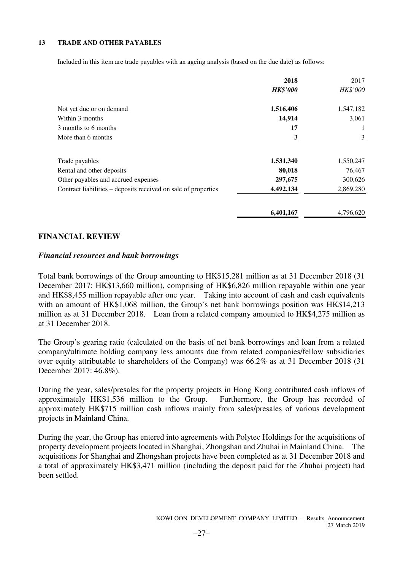## **13 TRADE AND OTHER PAYABLES**

Included in this item are trade payables with an ageing analysis (based on the due date) as follows:

|                                                                | 2018            | 2017      |
|----------------------------------------------------------------|-----------------|-----------|
|                                                                | <b>HK\$'000</b> | HK\$'000  |
| Not yet due or on demand                                       | 1,516,406       | 1,547,182 |
| Within 3 months                                                | 14,914          | 3,061     |
| 3 months to 6 months                                           | 17              | 1         |
| More than 6 months                                             | 3               | 3         |
| Trade payables                                                 | 1,531,340       | 1,550,247 |
| Rental and other deposits                                      | 80,018          | 76,467    |
| Other payables and accrued expenses                            | 297,675         | 300,626   |
| Contract liabilities – deposits received on sale of properties | 4,492,134       | 2,869,280 |
|                                                                | 6,401,167       | 4.796.620 |

## **FINANCIAL REVIEW**

#### *Financial resources and bank borrowings*

Total bank borrowings of the Group amounting to HK\$15,281 million as at 31 December 2018 (31 December 2017: HK\$13,660 million), comprising of HK\$6,826 million repayable within one year and HK\$8,455 million repayable after one year. Taking into account of cash and cash equivalents with an amount of HK\$1,068 million, the Group's net bank borrowings position was HK\$14,213 million as at 31 December 2018. Loan from a related company amounted to HK\$4,275 million as at 31 December 2018.

The Group's gearing ratio (calculated on the basis of net bank borrowings and loan from a related company/ultimate holding company less amounts due from related companies/fellow subsidiaries over equity attributable to shareholders of the Company) was 66.2% as at 31 December 2018 (31 December 2017: 46.8%).

During the year, sales/presales for the property projects in Hong Kong contributed cash inflows of approximately HK\$1,536 million to the Group. Furthermore, the Group has recorded of approximately HK\$715 million cash inflows mainly from sales/presales of various development projects in Mainland China.

During the year, the Group has entered into agreements with Polytec Holdings for the acquisitions of property development projects located in Shanghai, Zhongshan and Zhuhai in Mainland China. The acquisitions for Shanghai and Zhongshan projects have been completed as at 31 December 2018 and a total of approximately HK\$3,471 million (including the deposit paid for the Zhuhai project) had been settled.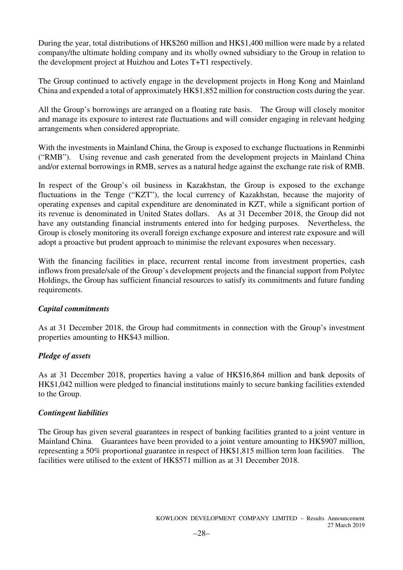During the year, total distributions of HK\$260 million and HK\$1,400 million were made by a related company/the ultimate holding company and its wholly owned subsidiary to the Group in relation to the development project at Huizhou and Lotes T+T1 respectively.

The Group continued to actively engage in the development projects in Hong Kong and Mainland China and expended a total of approximately HK\$1,852 million for construction costs during the year.

All the Group's borrowings are arranged on a floating rate basis. The Group will closely monitor and manage its exposure to interest rate fluctuations and will consider engaging in relevant hedging arrangements when considered appropriate.

With the investments in Mainland China, the Group is exposed to exchange fluctuations in Renminbi ("RMB"). Using revenue and cash generated from the development projects in Mainland China and/or external borrowings in RMB, serves as a natural hedge against the exchange rate risk of RMB.

In respect of the Group's oil business in Kazakhstan, the Group is exposed to the exchange fluctuations in the Tenge ("KZT"), the local currency of Kazakhstan, because the majority of operating expenses and capital expenditure are denominated in KZT, while a significant portion of its revenue is denominated in United States dollars. As at 31 December 2018, the Group did not have any outstanding financial instruments entered into for hedging purposes. Nevertheless, the Group is closely monitoring its overall foreign exchange exposure and interest rate exposure and will adopt a proactive but prudent approach to minimise the relevant exposures when necessary.

With the financing facilities in place, recurrent rental income from investment properties, cash inflows from presale/sale of the Group's development projects and the financial support from Polytec Holdings, the Group has sufficient financial resources to satisfy its commitments and future funding requirements.

# *Capital commitments*

As at 31 December 2018, the Group had commitments in connection with the Group's investment properties amounting to HK\$43 million.

# *Pledge of assets*

As at 31 December 2018, properties having a value of HK\$16,864 million and bank deposits of HK\$1,042 million were pledged to financial institutions mainly to secure banking facilities extended to the Group.

# *Contingent liabilities*

The Group has given several guarantees in respect of banking facilities granted to a joint venture in Mainland China. Guarantees have been provided to a joint venture amounting to HK\$907 million, representing a 50% proportional guarantee in respect of HK\$1,815 million term loan facilities. The facilities were utilised to the extent of HK\$571 million as at 31 December 2018.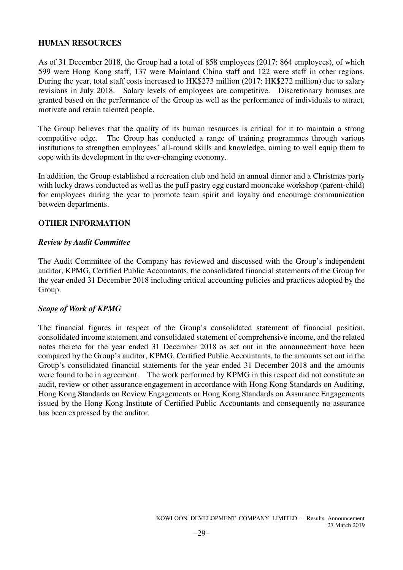# **HUMAN RESOURCES**

As of 31 December 2018, the Group had a total of 858 employees (2017: 864 employees), of which 599 were Hong Kong staff, 137 were Mainland China staff and 122 were staff in other regions. During the year, total staff costs increased to HK\$273 million (2017: HK\$272 million) due to salary revisions in July 2018. Salary levels of employees are competitive. Discretionary bonuses are granted based on the performance of the Group as well as the performance of individuals to attract, motivate and retain talented people.

The Group believes that the quality of its human resources is critical for it to maintain a strong competitive edge. The Group has conducted a range of training programmes through various institutions to strengthen employees' all-round skills and knowledge, aiming to well equip them to cope with its development in the ever-changing economy.

In addition, the Group established a recreation club and held an annual dinner and a Christmas party with lucky draws conducted as well as the puff pastry egg custard mooncake workshop (parent-child) for employees during the year to promote team spirit and loyalty and encourage communication between departments.

# **OTHER INFORMATION**

# *Review by Audit Committee*

The Audit Committee of the Company has reviewed and discussed with the Group's independent auditor, KPMG, Certified Public Accountants, the consolidated financial statements of the Group for the year ended 31 December 2018 including critical accounting policies and practices adopted by the Group.

# *Scope of Work of KPMG*

The financial figures in respect of the Group's consolidated statement of financial position, consolidated income statement and consolidated statement of comprehensive income, and the related notes thereto for the year ended 31 December 2018 as set out in the announcement have been compared by the Group's auditor, KPMG, Certified Public Accountants, to the amounts set out in the Group's consolidated financial statements for the year ended 31 December 2018 and the amounts were found to be in agreement. The work performed by KPMG in this respect did not constitute an audit, review or other assurance engagement in accordance with Hong Kong Standards on Auditing, Hong Kong Standards on Review Engagements or Hong Kong Standards on Assurance Engagements issued by the Hong Kong Institute of Certified Public Accountants and consequently no assurance has been expressed by the auditor.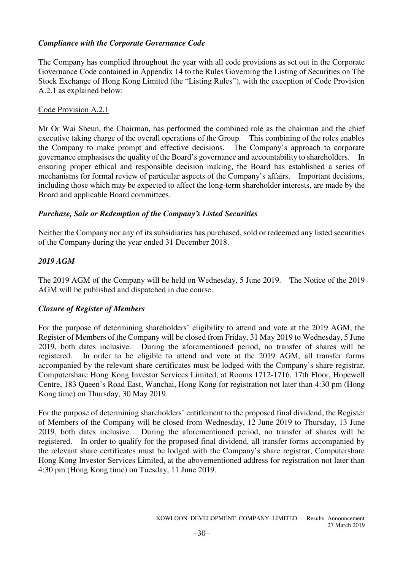# *Compliance with the Corporate Governance Code*

The Company has complied throughout the year with all code provisions as set out in the Corporate Governance Code contained in Appendix 14 to the Rules Governing the Listing of Securities on The Stock Exchange of Hong Kong Limited (the "Listing Rules"), with the exception of Code Provision A.2.1 as explained below:

# Code Provision A.2.1

Mr Or Wai Sheun, the Chairman, has performed the combined role as the chairman and the chief executive taking charge of the overall operations of the Group. This combining of the roles enables the Company to make prompt and effective decisions. The Company's approach to corporate governance emphasises the quality of the Board's governance and accountability to shareholders. In ensuring proper ethical and responsible decision making, the Board has established a series of mechanisms for formal review of particular aspects of the Company's affairs. Important decisions, including those which may be expected to affect the long-term shareholder interests, are made by the Board and applicable Board committees.

# *Purchase, Sale or Redemption of the Company's Listed Securities*

Neither the Company nor any of its subsidiaries has purchased, sold or redeemed any listed securities of the Company during the year ended 31 December 2018.

# *2019 AGM*

The 2019 AGM of the Company will be held on Wednesday, 5 June 2019. The Notice of the 2019 AGM will be published and dispatched in due course.

# *Closure of Register of Members*

For the purpose of determining shareholders' eligibility to attend and vote at the 2019 AGM, the Register of Members of the Company will be closed from Friday, 31 May 2019 to Wednesday, 5 June 2019, both dates inclusive. During the aforementioned period, no transfer of shares will be registered. In order to be eligible to attend and vote at the 2019 AGM, all transfer forms accompanied by the relevant share certificates must be lodged with the Company's share registrar, Computershare Hong Kong Investor Services Limited, at Rooms 1712-1716, 17th Floor, Hopewell Centre, 183 Queen's Road East, Wanchai, Hong Kong for registration not later than 4:30 pm (Hong Kong time) on Thursday, 30 May 2019.

For the purpose of determining shareholders' entitlement to the proposed final dividend, the Register of Members of the Company will be closed from Wednesday, 12 June 2019 to Thursday, 13 June 2019, both dates inclusive. During the aforementioned period, no transfer of shares will be registered. In order to qualify for the proposed final dividend, all transfer forms accompanied by the relevant share certificates must be lodged with the Company's share registrar, Computershare Hong Kong Investor Services Limited, at the abovementioned address for registration not later than 4:30 pm (Hong Kong time) on Tuesday, 11 June 2019.